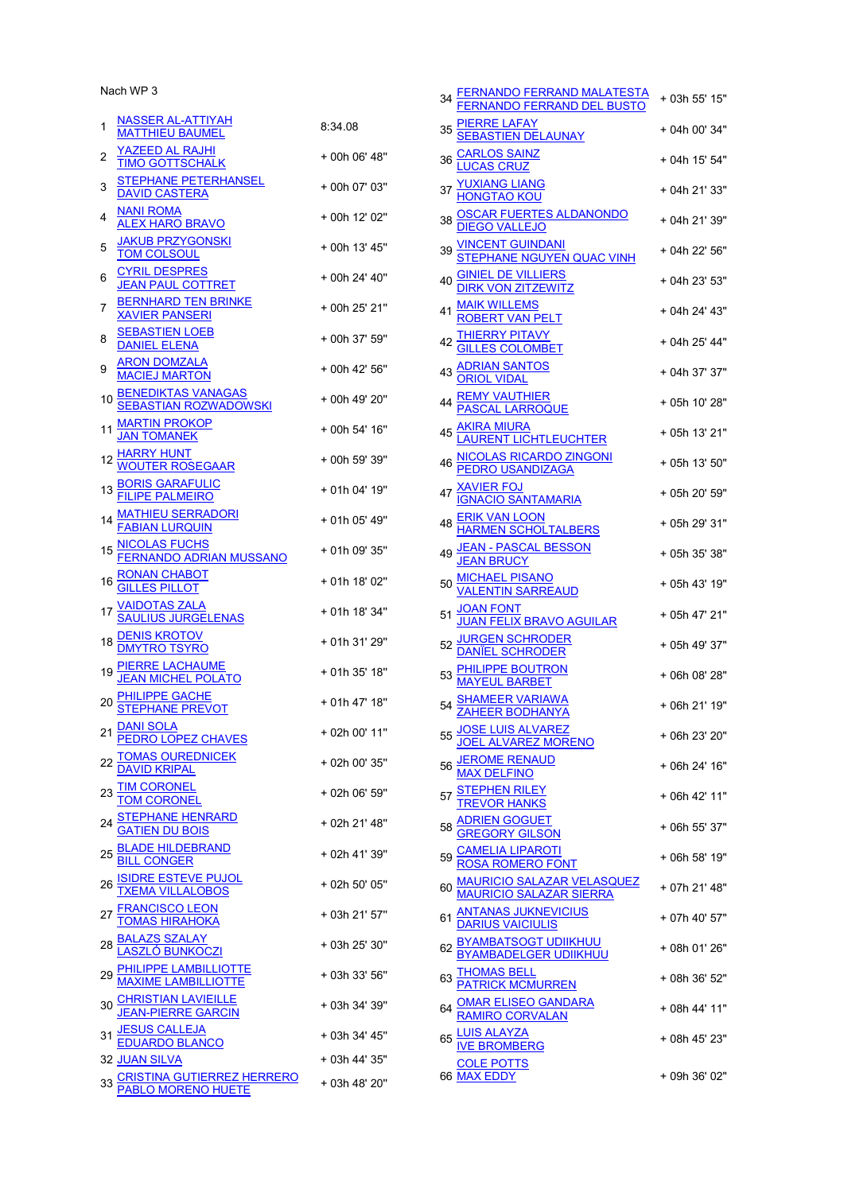Nach WP 3

| 1  | NASSER AL-ATTIYAH<br>MATTHIEU BAUMEL                                                               | 8:34.08       |
|----|----------------------------------------------------------------------------------------------------|---------------|
| 2  | YAZEED AL RAJHI<br><b>TIMO GOTTSCHALK</b>                                                          | + 00h 06' 48" |
| 3  | <u>STEPHANE PETERHANSEL</u><br><b>DAVID CASTERA</b>                                                | + 00h 07' 03" |
| 4  | <b>NANI ROMA</b><br><u>ALEX HARO BRAVO</u>                                                         | + 00h 12' 02" |
| 5  | <b>JAKUB PRZYGONSKI</b><br><b>TOM COLSOUL</b>                                                      | + 00h 13' 45" |
| 6  | <b>CYRIL DESPRES</b><br>JEAN PAUL COTTRET                                                          | + 00h 24' 40" |
| 7  | <b>BERNHARD TEN BRINKE</b><br><b>XAVIER PANSERI</b>                                                | + 00h 25' 21" |
| 8  | <b>SEBASTIEN LOEB</b><br><b>DANIEL ELENA</b>                                                       | + 00h 37' 59" |
| 9  | ARON DOMZALA<br>MACIEJ MARTON                                                                      | + 00h 42' 56" |
| 10 | <b>BENEDIKTAS VANAGAS</b><br><b>SEBASTIAN ROZWADOWSKI</b>                                          | + 00h 49' 20" |
| 11 | <b>MARTIN PROKOP</b><br><b>JAN TOMANEK</b>                                                         | + 00h 54' 16" |
| 12 | <u>HARRY HUNT</u><br>W <u>OUTER ROSEGAAR</u>                                                       | + 00h 59' 39" |
| 13 | <b>BORIS GARAFULIC</b><br>FILIPE PALMEIRO                                                          | + 01h 04' 19" |
| 14 | <u>THIEU SERRADORI</u><br>BIAN LURQUIN                                                             | + 01h 05' 49" |
| 15 | <u>NICOLAS FUCHS</u><br>FERN <u>ANDO ADRIAN MUSSANO</u>                                            | + 01h 09' 35" |
| 16 | RONAN CHABOT<br>GILLES PILLOT                                                                      | + 01h 18' 02" |
| 17 | <u>VAIDOTAS ZALA</u><br><b>SAULIUS JURGELENAS</b>                                                  | + 01h 18' 34" |
|    | 18 DENIS KROTOV<br>MYTRO TSYRO                                                                     | + 01h 31' 29" |
| 19 | <u>PIERRE LACHAUME</u><br>JEAN MICHEL POLATO                                                       | + 01h 35' 18" |
| 20 | <u>PHILIPPE GACHE</u><br>STEPHANE PREVOT                                                           | + 01h 47' 18" |
| 21 | <u>DANI SOLA</u><br><b>PEDRO LOPEZ CHAVES</b>                                                      | + 02h 00' 11" |
|    | 22 TOMAS OUREDNICEK<br>DAVID KRIPAL                                                                | + 02h 00' 35" |
|    | 23 TIM CORONEL<br>TOM CORONEL                                                                      | + 02h 06' 59" |
| 24 | <u>STEPHANE HENRARD</u><br><u>GATIEN DU BOIS</u>                                                   | + 02h 21' 48" |
| 25 | <u>BLADE HILDEBRAND</u><br><u>BILL CONGER</u>                                                      | + 02h 41' 39" |
|    | 26 ISIDRE ESTEVE PUJOL<br>TXEMA VILLALOBOS<br>27 <u>FRANCISCO LEON</u><br>27 <u>TOMAS HIRAHOKA</u> | + 02h 50' 05" |
|    |                                                                                                    | + 03h 21' 57" |
|    | 28 <b>BALAZS SZALAY</b><br><u>LASZLÓ BUNKOCZI</u>                                                  | + 03h 25' 30" |
| 29 | <u>PHILIPPE LAMBILLIOTTE</u><br>MAXIME LAMBILLIOTTE                                                | + 03h 33' 56" |
|    | 30 CHRISTIAN LAVIEILLE<br>JEAN-PIERRE GARCIN                                                       | + 03h 34' 39" |
| 31 | <u>JESUS CALLEJA</u><br><u>EDUARDO BLANCO</u>                                                      | + 03h 34' 45" |
|    | <b>32 JUAN SILVA</b>                                                                               | + 03h 44' 35" |
|    | <b>CRISTINA GUTIERREZ HERRERO<br/>PABLO MORENO HUETE</b>                                           | + 03h 48' 20" |

| 34 FERNANDO FERRAND MALATESTA<br>FERNANDO FERRAND DEL BUSTO                                                                                               | + 03h 55' 15" |
|-----------------------------------------------------------------------------------------------------------------------------------------------------------|---------------|
| 35 <u>PIERRE LAFAY</u><br><u>SEBASTIEN DELAUNAY</u>                                                                                                       | + 04h 00' 34" |
|                                                                                                                                                           | + 04h 15' 54" |
|                                                                                                                                                           | + 04h 21' 33" |
| 36 <u>CARLOS SAINZ</u><br>37 <u>YUXIANG LIANG</u><br>37 <u>HONGTAO KOU</u><br>38 <u>OSCAR FUERTES ALDANONDO</u>                                           | + 04h 21' 39" |
| 39 <mark>VINCENT GUINDANI</mark><br>STEPHANE NGUYEN QUAC VINH                                                                                             | + 04h 22' 56" |
| SINIEL DE VILLIERS<br>DIRK VON ZITZEWITZ<br>40                                                                                                            | + 04h 23' 53" |
| 41                                                                                                                                                        | + 04h 24' 43" |
| 42                                                                                                                                                        | + 04h 25' 44" |
| MAIK WILLEMS<br>ROBERT VAN PELT<br>THIERRY PITAVY<br>GILLES COLOMBET<br>ADRIAN SANTOS<br>ORIOL VIDAL<br>43                                                | + 04h 37' 37" |
| 44 <u>REMY VAUTHIER</u><br><u>PASCAL LARROQUE</u>                                                                                                         | + 05h 10' 28" |
|                                                                                                                                                           | + 05h 13' 21" |
|                                                                                                                                                           | + 05h 13' 50" |
| 45<br><u>LAURENT LICHTLEUCHTER<br/> 46 NICOLAS RICARDO ZINGONI</u><br><u>PEDRO USANDIZAGA</u><br>47 <u>XAVIER FOJ</u><br><u>IGNACIO SANTAMARIA</u>        | + 05h 20' 59" |
| 48<br>48 ERIK VAN LOON<br>HARMEN SCHOLTALBERS                                                                                                             | + 05h 29' 31" |
| <u>JEAN - PASCAL BESSON</u><br><u>JEAN BRUCY</u><br>49                                                                                                    | + 05h 35' 38" |
|                                                                                                                                                           | + 05h 43' 19" |
| MICHAEL PISANO<br>VALENTIN SARREAUD<br>50                                                                                                                 |               |
| 51 <u>JOAN FONT</u><br>J <u>UAN FELIX BRAVO AGUILAR</u><br>52 <u>JURGEN SCHRODER</u><br>DANIEL SCHRODER                                                   | + 05h 47' 21" |
|                                                                                                                                                           | + 05h 49' 37" |
| <b>PHILIPPE BOUTRON</b><br>MAYEUL BARBET                                                                                                                  | + 06h 08' 28" |
| 54 <u>SHAMEER VARIAWA</u><br><u>ZAHEER BODHANYA</u>                                                                                                       | + 06h 21' 19" |
| 55 JOSE LUIS ALVAREZ<br>JOEL ALVAREZ MORENO                                                                                                               | + 06h 23' 20" |
| 56 JEROME RENAUD<br>MAX DELFINO                                                                                                                           | + 06h 24' 16" |
|                                                                                                                                                           | + 06h 42' 11" |
| 57<br>TREVOR HANKS<br>58 <u>ADRIEN GOGUET</u><br>59 <u>CAMELIA LIPAROTI</u><br>59 CAMELIA LIPAROTI                                                        | + 06h 55' 37" |
|                                                                                                                                                           | + 06h 58' 19" |
| <u>MAURICIO SALAZAR VELASQUEZ</u><br><u>MAURICIO SALAZAR SIERRA</u><br>60                                                                                 | + 07h 21' 48" |
| <u>ANTANAS JUKNEVICIUS</u><br><u>DARIUS VAICIULIS</u><br>61                                                                                               | + 07h 40' 57" |
|                                                                                                                                                           | + 08h 01' 26" |
| 62<br><u>BYAMBATSOGT UDIIKHUU</u><br>63 <u>THOMAS BELL</u><br>64 <u>OMAR ELISEO GANDARA</u><br>64 <u>OMAR ELISEO GANDARA</u><br>84 <u>RAMIRO CORVALAN</u> | + 08h 36' 52" |
|                                                                                                                                                           | + 08h 44' 11" |
| 65 LUIS ALAYZA<br>IVE BROMBERG                                                                                                                            | + 08h 45' 23" |
| COLE POTTS<br>66 MAX EDDY                                                                                                                                 | + 09h 36' 02" |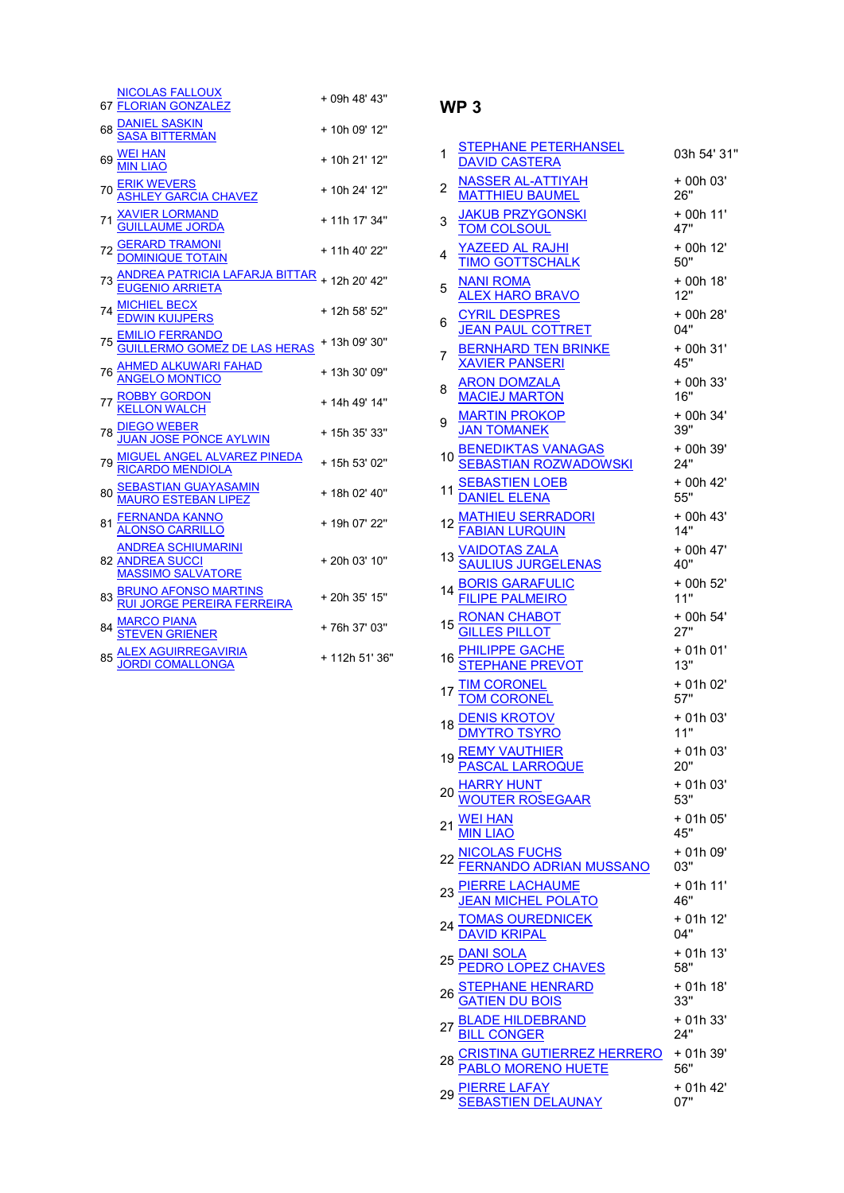| <b>NICOLAS FALLOUX</b><br>67 FLORIAN GONZALEZ                            | + 09h 48' 43"  |
|--------------------------------------------------------------------------|----------------|
| DANIEL SASKIN<br>SASA BITTERMAN<br>68                                    | + 10h 09' 12"  |
| 69 WELHAN                                                                | + 10h 21' 12"  |
| 70 <u>ERIK WEVERS</u><br>AS <u>HLEY GARCIA CHAVEZ</u>                    | + 10h 24' 12"  |
| 71 <u>XAVIER LORMAND</u><br>GUILLAUME JORDA                              | + 11h 17' 34"  |
| 72 <u>GERARD TRAMONI</u><br><u>DOMINIQUE TOTAIN</u>                      | + 11h 40' 22"  |
| <u>ANDREA PATRICIA LAFARJA BITTAR</u><br><u>EUGENIO ARRIETA</u>          | + 12h 20' 42"  |
| 74 MICHIEL BECX<br>EDWIN KUIJPERS                                        | + 12h 58' 52"  |
| <u>EMILIO FERRANDO</u><br>GUILLERMO GOMEZ DE LAS HERAS                   | + 13h 09' 30"  |
| <u>AHMED ALKUWARI FAHAD</u><br>ANGELO MONTICO                            | + 13h 30' 09"  |
| 77 <mark>ROBBY GORDON</mark><br>KELLON WALCH                             | + 14h 49' 14"  |
| DIEGO WEBER<br>JUAN JOSE PONCE AYLWIN                                    | + 15h 35' 33"  |
| MIGUEL ANGEL ALVAREZ PINEDA<br>RICARDO MENDIOLA                          | + 15h 53' 02"  |
| SEBASTIAN GUAYASAMIN<br>MAURO ESTEBAN LIPEZ                              | + 18h 02' 40"  |
| 81 <u>FERNANDA KANNO</u><br><u>ALONSO CARRILLO</u>                       | + 19h 07' 22"  |
| <b>ANDREA SCHIUMARINI</b><br>82 ANDREA SUCCI<br><b>MASSIMO SALVATORE</b> | +20h 03' 10"   |
| <u>BRUNO AFONSO MARTINS</u><br><u>RUI JORGE PEREIRA FERREIRA</u>         | + 20h 35' 15"  |
| <u>MARCO PIANA</u><br>STEVEN GRIENER                                     | +76h 37' 03"   |
| <u>ALEX AGUIRREGAVIRIA</u><br>JORDI COMALLONGA<br>85                     | + 112h 51' 36" |

| 1  | STEPHANE PETERHANSEL<br><b>DAVID CASTERA</b>           | 03h 54' 31"      |
|----|--------------------------------------------------------|------------------|
| 2  | NASSER AL-ATTIYAH<br><b>MATTHIEU BAUMEL</b>            | + 00h 03'<br>26" |
| 3  | <b>JAKUB PRZYGONSKI</b><br><b>TOM COLSOUL</b>          | + 00h 11'<br>47" |
| 4  | YAZEED AL RAJHI<br><b>TIMO GOTTSCHALK</b>              | + 00h 12'<br>50" |
| 5  | <b>NANI ROMA</b><br><b>ALEX HARO BRAVO</b>             | + 00h 18'<br>12" |
| 6  | <b>CYRIL DESPRES</b><br><b>JEAN PAUL COTTRET</b>       | + 00h 28'<br>04" |
| 7  | <b>BERNHARD TEN BRINKE</b><br><b>XAVIER PANSERI</b>    | + 00h 31'<br>45" |
| 8  | <b>ARON DOMZALA</b><br><b>MACIEJ MARTON</b>            | + 00h 33'<br>16" |
| 9  | <b>MARTIN PROKOP</b><br><b>JAN TOMANEK</b>             | + 00h 34'<br>39" |
| 10 | <b>BENEDIKTAS VANAGAS</b><br>SEBASTIAN ROZWADOWSKI     | + 00h 39'<br>24" |
| 11 | <b>SEBASTIEN LOEB</b><br>DANIEL ELENA                  | + 00h 42'<br>55" |
|    | <u>MATHIEU SERRADORI</u><br>FABIAN LURQUIN             | + 00h 43'<br>14" |
|    | <u>VAIDOTAS ZALA</u><br>SAULIU <u>S JURGELENAS</u>     | + 00h 47'<br>40" |
| 14 | BORIS GARAFULIC<br>FILIPE PALMEIRO                     | + 00h 52'<br>11" |
| 15 | RONAN CHABOT<br>GILLES PILLOT                          | + 00h 54'<br>27" |
| 16 | <u>PHILIPPE GACHE</u><br>STEPHANE PREVOT               | + 01h 01'<br>13" |
|    | <b>TIM CORONEL</b><br><b>TOM CORONEL</b>               | + 01h 02'<br>57" |
| 18 | <u>DENIS KROTOV</u><br>DMYTRO TSYRO                    | + 01h 03'<br>11" |
| 19 | <b>REMY VAUTHIER</b><br><b>PASCAL LARROQUE</b>         | + 01h 03'<br>20" |
|    | <u>HARRY HUNT</u><br>WOUTER ROSE <u>GAAR</u>           | + 01h 03'<br>53" |
|    | <b>IN LIAO</b>                                         | + 01h 05'<br>45" |
|    | <u>NICOLAS FUCHS</u><br><u>FERNANDO ADRIAN MUSSANO</u> | + 01h 09'<br>03" |
|    | <u>ERRE LACHAUME</u><br>: <u>AN MICHEL POLATO</u>      | $+01h11'$<br>46" |
| 24 | <mark>IAS OUREDNICEK</mark><br>ID KRIPAL               | + 01h 12'<br>04" |
| 25 | <u>ANI SOLA</u><br>EDRO L <u>OPEZ CHAVES</u>           | + 01h 13'<br>58" |
| 26 | <u>'EPHANE HENRARD</u><br>\TIEN <u> DU BOIS</u>        | + 01h 18'<br>33" |
|    | <b>ADE HILDEBRAND</b><br>CONGER                        | + 01h 33'<br>24" |
|    | <u>RISTINA GUTIERREZ HERRERO</u><br>ABLO MORENO HUETE  | + 01h 39'<br>56" |
|    | <mark>ERRE LAFAY</mark><br>FBASTIEN DELAU <u>NAY</u>   | + 01h 42'<br>07" |
|    |                                                        |                  |

## WP 3